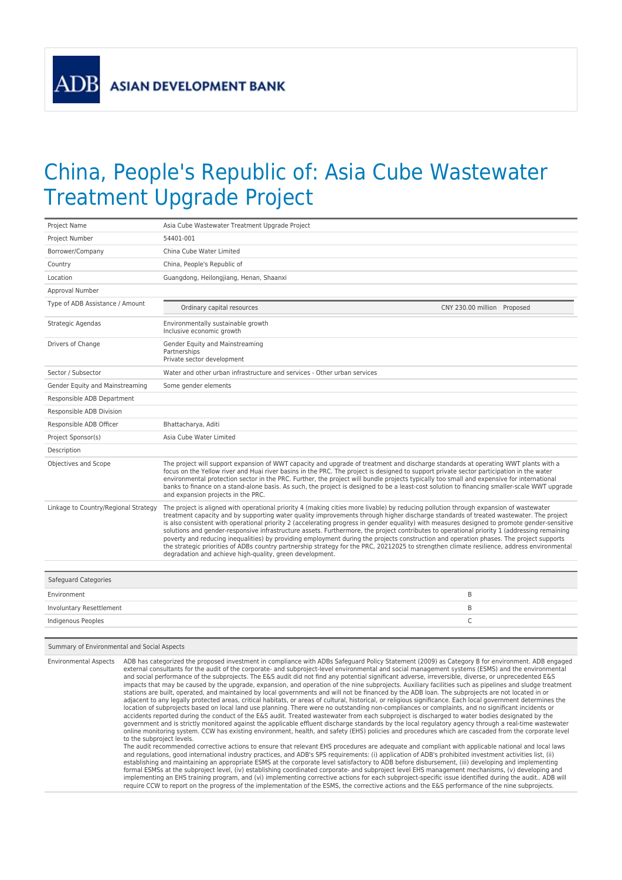## China, People's Republic of: Asia Cube Wastewater Treatment Upgrade Project

| Project Name                         | Asia Cube Wastewater Treatment Upgrade Project                                                                                                                                                                                                                                                                                                                                                                                                                                                                                                                                                                                                                                                                                                                                                                                                                                                                                     |  |
|--------------------------------------|------------------------------------------------------------------------------------------------------------------------------------------------------------------------------------------------------------------------------------------------------------------------------------------------------------------------------------------------------------------------------------------------------------------------------------------------------------------------------------------------------------------------------------------------------------------------------------------------------------------------------------------------------------------------------------------------------------------------------------------------------------------------------------------------------------------------------------------------------------------------------------------------------------------------------------|--|
| Project Number                       | 54401-001                                                                                                                                                                                                                                                                                                                                                                                                                                                                                                                                                                                                                                                                                                                                                                                                                                                                                                                          |  |
| Borrower/Company                     | China Cube Water Limited                                                                                                                                                                                                                                                                                                                                                                                                                                                                                                                                                                                                                                                                                                                                                                                                                                                                                                           |  |
| Country                              | China, People's Republic of                                                                                                                                                                                                                                                                                                                                                                                                                                                                                                                                                                                                                                                                                                                                                                                                                                                                                                        |  |
| Location                             | Guangdong, Heilongjiang, Henan, Shaanxi                                                                                                                                                                                                                                                                                                                                                                                                                                                                                                                                                                                                                                                                                                                                                                                                                                                                                            |  |
| Approval Number                      |                                                                                                                                                                                                                                                                                                                                                                                                                                                                                                                                                                                                                                                                                                                                                                                                                                                                                                                                    |  |
| Type of ADB Assistance / Amount      | CNY 230.00 million Proposed<br>Ordinary capital resources                                                                                                                                                                                                                                                                                                                                                                                                                                                                                                                                                                                                                                                                                                                                                                                                                                                                          |  |
| Strategic Agendas                    | Environmentally sustainable growth<br>Inclusive economic growth                                                                                                                                                                                                                                                                                                                                                                                                                                                                                                                                                                                                                                                                                                                                                                                                                                                                    |  |
| Drivers of Change                    | Gender Equity and Mainstreaming<br>Partnerships<br>Private sector development                                                                                                                                                                                                                                                                                                                                                                                                                                                                                                                                                                                                                                                                                                                                                                                                                                                      |  |
| Sector / Subsector                   | Water and other urban infrastructure and services - Other urban services                                                                                                                                                                                                                                                                                                                                                                                                                                                                                                                                                                                                                                                                                                                                                                                                                                                           |  |
| Gender Equity and Mainstreaming      | Some gender elements                                                                                                                                                                                                                                                                                                                                                                                                                                                                                                                                                                                                                                                                                                                                                                                                                                                                                                               |  |
| Responsible ADB Department           |                                                                                                                                                                                                                                                                                                                                                                                                                                                                                                                                                                                                                                                                                                                                                                                                                                                                                                                                    |  |
| Responsible ADB Division             |                                                                                                                                                                                                                                                                                                                                                                                                                                                                                                                                                                                                                                                                                                                                                                                                                                                                                                                                    |  |
| Responsible ADB Officer              | Bhattacharya, Aditi                                                                                                                                                                                                                                                                                                                                                                                                                                                                                                                                                                                                                                                                                                                                                                                                                                                                                                                |  |
| Project Sponsor(s)                   | Asia Cube Water Limited                                                                                                                                                                                                                                                                                                                                                                                                                                                                                                                                                                                                                                                                                                                                                                                                                                                                                                            |  |
| Description                          |                                                                                                                                                                                                                                                                                                                                                                                                                                                                                                                                                                                                                                                                                                                                                                                                                                                                                                                                    |  |
| Objectives and Scope                 | The project will support expansion of WWT capacity and upgrade of treatment and discharge standards at operating WWT plants with a<br>focus on the Yellow river and Huai river basins in the PRC. The project is designed to support private sector participation in the water<br>environmental protection sector in the PRC. Further, the project will bundle projects typically too small and expensive for international<br>banks to finance on a stand-alone basis. As such, the project is designed to be a least-cost solution to financing smaller-scale WWT upgrade<br>and expansion projects in the PRC.                                                                                                                                                                                                                                                                                                                  |  |
| Linkage to Country/Regional Strategy | The project is aligned with operational priority 4 (making cities more livable) by reducing pollution through expansion of wastewater<br>treatment capacity and by supporting water quality improvements through higher discharge standards of treated wastewater. The project<br>is also consistent with operational priority 2 (accelerating progress in gender equality) with measures designed to promote gender-sensitive<br>solutions and gender-responsive infrastructure assets. Furthermore, the project contributes to operational priority 1 (addressing remaining<br>poverty and reducing inequalities) by providing employment during the projects construction and operation phases. The project supports<br>the strategic priorities of ADBs country partnership strategy for the PRC, 20212025 to strengthen climate resilience, address environmental<br>degradation and achieve high-quality, green development. |  |
|                                      |                                                                                                                                                                                                                                                                                                                                                                                                                                                                                                                                                                                                                                                                                                                                                                                                                                                                                                                                    |  |
| <b>Safeguard Categories</b>          |                                                                                                                                                                                                                                                                                                                                                                                                                                                                                                                                                                                                                                                                                                                                                                                                                                                                                                                                    |  |
| Environment                          | B                                                                                                                                                                                                                                                                                                                                                                                                                                                                                                                                                                                                                                                                                                                                                                                                                                                                                                                                  |  |
| Involuntary Resettlement             | B                                                                                                                                                                                                                                                                                                                                                                                                                                                                                                                                                                                                                                                                                                                                                                                                                                                                                                                                  |  |
| Indigenous Peoples                   | $\mathsf{C}$                                                                                                                                                                                                                                                                                                                                                                                                                                                                                                                                                                                                                                                                                                                                                                                                                                                                                                                       |  |

## Summary of Environmental and Social Aspects

Environmental Aspects ADB has categorized the proposed investment in compliance with ADBs Safeguard Policy Statement (2009) as Category B for environment. ADB engaged external consultants for the audit of the corporate- and subproject-level environmental and social management systems (ESMS) and the environmental and social performance of the subprojects. The E&S audit did not find any potential significant adverse, irreversible, diverse, or unprecedented E&S impacts that may be caused by the upgrade, expansion, and operation of the nine subprojects. Auxiliary facilities such as pipelines and sludge treatment<br>stations are built, operated, and maintained by local governments and adjacent to any legally protected areas, critical habitats, or areas of cultural, historical, or religious significance. Each local government determines the<br>location of subprojects based on local land use planning. There government and is strictly monitored against the applicable effluent discharge standards by the local regulatory agency through a real-time wastewater<br>online monitoring system. CCW has existing environment, health, and saf to the subproject levels.

The audit recommended corrective actions to ensure that relevant EHS procedures are adequate and compliant with applicable national and local laws and requisitions, good international industry practices, and ADB's SPS requirements: (i) application of ADB's prohibited investment activities list, (ii) and industry practices, and ADB's SPS requirements: (i) application establishing and maintaining an appropriate ESMS at the corporate level satisfactory to ADB before disbursement, (iii) developing and implementing formal ESMSs at the subproject level, (iv) establishing coordinated corporate- and subproject level EHS management mechanisms, (v) developing and<br>implementing an EHS training program, and (vi) implementing corrective actio require CCW to report on the progress of the implementation of the ESMS, the corrective actions and the E&S performance of the nine subprojects.